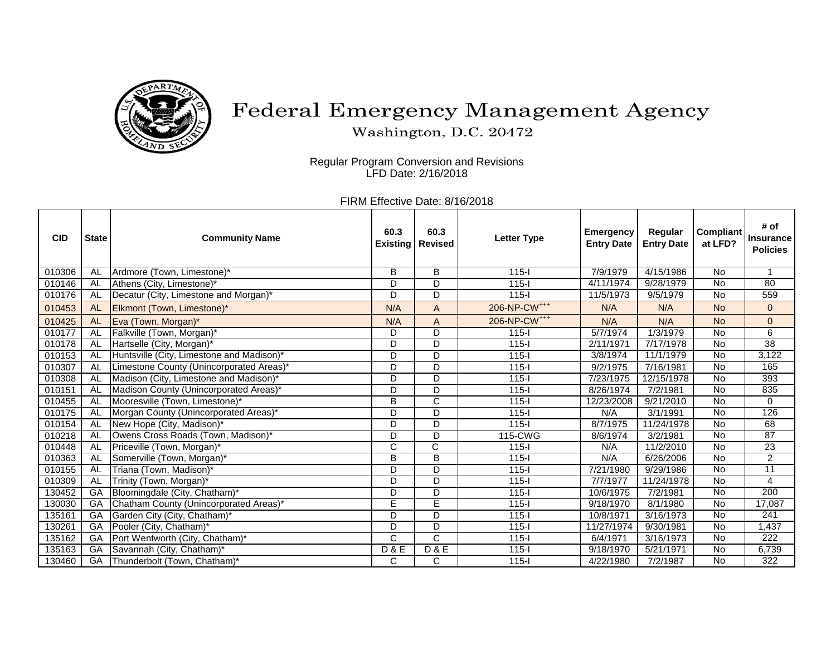

## Federal Emergency Management Agency

Washington, D.C. 20472

Regular Program Conversion and Revisions LFD Date: 2/16/2018

FIRM Effective Date: 8/16/2018

| <b>CID</b> | <b>State</b> | <b>Community Name</b>                     | 60.3           | 60.3<br><b>Existing   Revised</b> | <b>Letter Type</b>       | <b>Emergency</b><br><b>Entry Date</b> | Regular<br><b>Entry Date</b> | <b>Compliant</b><br>at LFD? | # of<br><b>Insurance</b><br><b>Policies</b> |
|------------|--------------|-------------------------------------------|----------------|-----------------------------------|--------------------------|---------------------------------------|------------------------------|-----------------------------|---------------------------------------------|
| 010306     | AL           | Ardmore (Town, Limestone)*                | B              | B                                 | $115 -$                  | 7/9/1979                              | 4/15/1986                    | <b>No</b>                   | $\overline{1}$                              |
| 010146     | AL           | Athens (City, Limestone)*                 | D              | D                                 | $115 -$                  | 4/11/1974                             | 9/28/1979                    | <b>No</b>                   | 80                                          |
| 010176     | AL           | Decatur (City, Limestone and Morgan)*     | D.             | D                                 | $115 -$                  | 11/5/1973                             | 9/5/1979                     | <b>No</b>                   | 559                                         |
| 010453     | <b>AL</b>    | Elkmont (Town, Limestone)*                | N/A            | A                                 | 206-NP-CW <sup>+++</sup> | N/A                                   | N/A                          | <b>No</b>                   | $\mathbf{0}$                                |
| 010425     | <b>AL</b>    | Eva (Town, Morgan)*                       | N/A            | A                                 | 206-NP-CW <sup>+++</sup> | N/A                                   | N/A                          | <b>No</b>                   | $\overline{0}$                              |
| 010177     | AL           | Falkville (Town, Morgan)*                 | D.             | D                                 | $115 -$                  | 5/7/1974                              | 1/3/1979                     | <b>No</b>                   | 6                                           |
| 010178     | <b>AL</b>    | Hartselle (City, Morgan)*                 | D              | D                                 | $115 -$                  | 2/11/1971                             | 7/17/1978                    | <b>No</b>                   | $\overline{38}$                             |
| 010153     | <b>AL</b>    | Huntsville (City, Limestone and Madison)* | D              | D                                 | $115 -$                  | 3/8/1974                              | 11/1/1979                    | <b>No</b>                   | 3,122                                       |
| 010307     | AL           | Limestone County (Unincorporated Areas)*  | D              | D                                 | $115 -$                  | 9/2/1975                              | 7/16/1981                    | <b>No</b>                   | 165                                         |
| 010308     | AL           | Madison (City, Limestone and Madison)*    | D              | D                                 | $115 -$                  | 7/23/1975                             | 12/15/1978                   | <b>No</b>                   | 393                                         |
| 010151     | <b>AL</b>    | Madison County (Unincorporated Areas)*    | D.             | D                                 | $115 -$                  | 8/26/1974                             | 7/2/1981                     | <b>No</b>                   | 835                                         |
| 010455     | AL           | Mooresville (Town, Limestone)*            | B              | C                                 | $115 -$                  | 12/23/2008                            | 9/21/2010                    | <b>No</b>                   | 0                                           |
| 010175     | AL           | Morgan County (Unincorporated Areas)*     | D.             | D                                 | $115 -$                  | N/A                                   | 3/1/1991                     | <b>No</b>                   | 126                                         |
| 010154     | AL           | New Hope (City, Madison)*                 | D              | D                                 | $115 -$                  | 8/7/1975                              | 11/24/1978                   | <b>No</b>                   | 68                                          |
| 010218     | AL           | Owens Cross Roads (Town, Madison)*        | D.             | D                                 | 115-CWG                  | 8/6/1974                              | 3/2/1981                     | <b>No</b>                   | 87                                          |
| 010448     | AL           | Priceville (Town, Morgan)*                | C              | $\overline{\text{c}}$             | $115 -$                  | N/A                                   | 11/2/2010                    | <b>No</b>                   | 23                                          |
| 010363     | AL           | Somerville (Town, Morgan)*                | B              | B                                 | $115 -$                  | N/A                                   | 6/26/2006                    | <b>No</b>                   | 2                                           |
| 010155     | <b>AL</b>    | Triana (Town, Madison)*                   | D              | D                                 | $115 -$                  | 7/21/1980                             | 9/29/1986                    | <b>No</b>                   | 11                                          |
| 010309     | <b>AL</b>    | Trinity (Town, Morgan)*                   | D              | D                                 | $115 -$                  | 7/7/1977                              | 11/24/1978                   | <b>No</b>                   | $\overline{4}$                              |
| 130452     | GA           | Bloomingdale (City, Chatham)*             | D              | D                                 | $115 -$                  | 10/6/1975                             | 7/2/1981                     | <b>No</b>                   | 200                                         |
| 130030     | GA           | Chatham County (Unincorporated Areas)*    | E              | E                                 | $115 -$                  | 9/18/1970                             | 8/1/1980                     | <b>No</b>                   | 17,087                                      |
| 135161     | GA           | Garden City (City, Chatham)*              | D              | D                                 | $115 -$                  | 10/8/1971                             | 3/16/1973                    | <b>No</b>                   | 241                                         |
| 130261     | GA           | Pooler (City, Chatham)*                   | D.             | D                                 | $115 -$                  | 11/27/1974                            | 9/30/1981                    | $\overline{N}$              | 1,437                                       |
| 135162     | GA           | Port Wentworth (City, Chatham)*           | C              | C                                 | $115 -$                  | 6/4/1971                              | 3/16/1973                    | <b>No</b>                   | 222                                         |
| 135163     | GA           | Savannah (City, Chatham)*                 | <b>D&amp;E</b> | <b>D&amp;E</b>                    | $115 -$                  | 9/18/1970                             | 5/21/1971                    | <b>No</b>                   | 6,739                                       |
| 130460     | GA           | Thunderbolt (Town, Chatham)*              | С              | C                                 | $115 -$                  | 4/22/1980                             | 7/2/1987                     | <b>No</b>                   | 322                                         |